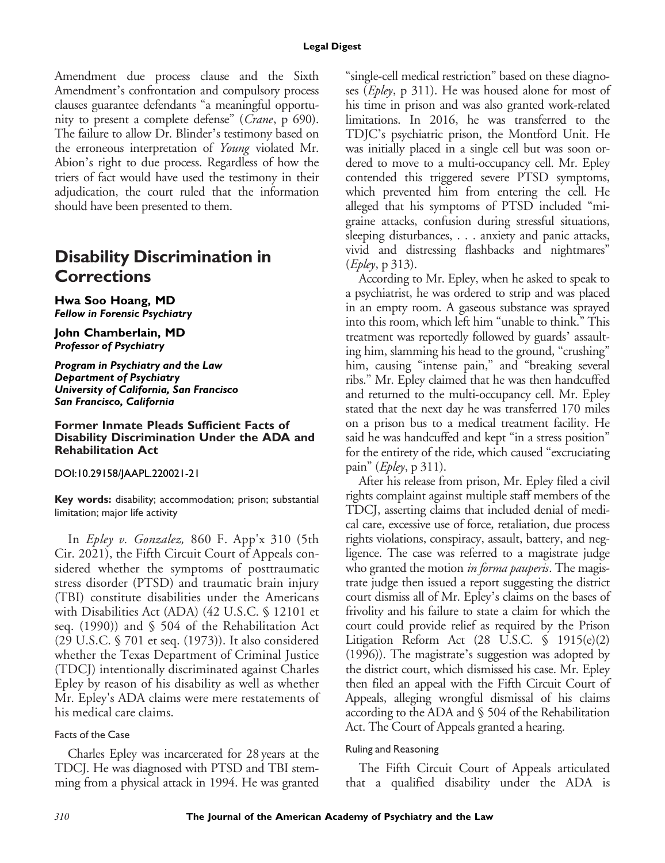Amendment due process clause and the Sixth Amendment's confrontation and compulsory process clauses guarantee defendants "a meaningful opportunity to present a complete defense" (Crane, p 690). The failure to allow Dr. Blinder's testimony based on the erroneous interpretation of Young violated Mr. Abion's right to due process. Regardless of how the triers of fact would have used the testimony in their adjudication, the court ruled that the information should have been presented to them.

## **Disability Discrimination in Corrections**

**Hwa Soo Hoang, MD** *Fellow in Forensic Psychiatry*

**John Chamberlain, MD** *Professor of Psychiatry*

*Program in Psychiatry and the Law Department of Psychiatry University of California, San Francisco San Francisco, California*

**Former Inmate Pleads Sufficient Facts of Disability Discrimination Under the ADA and Rehabilitation Act**

DOI:10.29158/JAAPL.220021-21

**Key words:** disability; accommodation; prison; substantial limitation; major life activity

In Epley v. Gonzalez, 860 F. App'x 310 (5th Cir. 2021), the Fifth Circuit Court of Appeals considered whether the symptoms of posttraumatic stress disorder (PTSD) and traumatic brain injury (TBI) constitute disabilities under the Americans with Disabilities Act (ADA) (42 U.S.C. § 12101 et seq. (1990)) and § 504 of the Rehabilitation Act (29 U.S.C. § 701 et seq. (1973)). It also considered whether the Texas Department of Criminal Justice (TDCJ) intentionally discriminated against Charles Epley by reason of his disability as well as whether Mr. Epley's ADA claims were mere restatements of his medical care claims.

### Facts of the Case

Charles Epley was incarcerated for 28 years at the TDCJ. He was diagnosed with PTSD and TBI stemming from a physical attack in 1994. He was granted "single-cell medical restriction" based on these diagnoses (Epley, p 311). He was housed alone for most of his time in prison and was also granted work-related limitations. In 2016, he was transferred to the TDJC's psychiatric prison, the Montford Unit. He was initially placed in a single cell but was soon ordered to move to a multi-occupancy cell. Mr. Epley contended this triggered severe PTSD symptoms, which prevented him from entering the cell. He alleged that his symptoms of PTSD included "migraine attacks, confusion during stressful situations, sleeping disturbances, . . . anxiety and panic attacks, vivid and distressing flashbacks and nightmares" (Epley, p 313).

According to Mr. Epley, when he asked to speak to a psychiatrist, he was ordered to strip and was placed in an empty room. A gaseous substance was sprayed into this room, which left him "unable to think." This treatment was reportedly followed by guards' assaulting him, slamming his head to the ground, "crushing" him, causing "intense pain," and "breaking several ribs." Mr. Epley claimed that he was then handcuffed and returned to the multi-occupancy cell. Mr. Epley stated that the next day he was transferred 170 miles on a prison bus to a medical treatment facility. He said he was handcuffed and kept "in a stress position" for the entirety of the ride, which caused "excruciating pain" ( $E$ *pley*, p 311).

After his release from prison, Mr. Epley filed a civil rights complaint against multiple staff members of the TDCJ, asserting claims that included denial of medical care, excessive use of force, retaliation, due process rights violations, conspiracy, assault, battery, and negligence. The case was referred to a magistrate judge who granted the motion *in forma pauperis*. The magistrate judge then issued a report suggesting the district court dismiss all of Mr. Epley's claims on the bases of frivolity and his failure to state a claim for which the court could provide relief as required by the Prison Litigation Reform Act (28 U.S.C. § 1915(e)(2) (1996)). The magistrate's suggestion was adopted by the district court, which dismissed his case. Mr. Epley then filed an appeal with the Fifth Circuit Court of Appeals, alleging wrongful dismissal of his claims according to the ADA and § 504 of the Rehabilitation Act. The Court of Appeals granted a hearing.

#### Ruling and Reasoning

The Fifth Circuit Court of Appeals articulated that a qualified disability under the ADA is